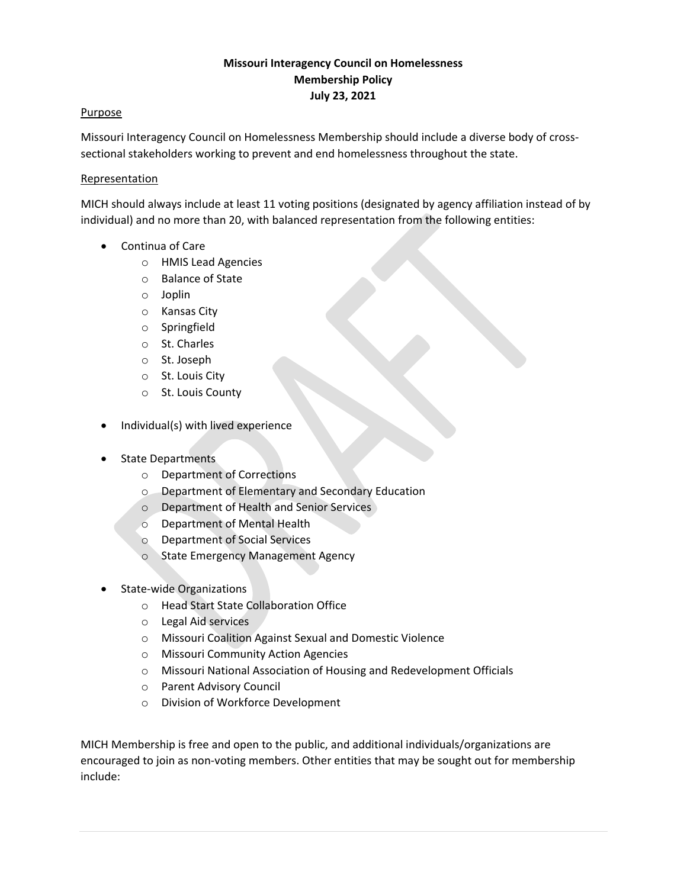# **Missouri Interagency Council on Homelessness Membership Policy July 23, 2021**

#### **Purpose**

Missouri Interagency Council on Homelessness Membership should include a diverse body of crosssectional stakeholders working to prevent and end homelessness throughout the state.

## Representation

MICH should always include at least 11 voting positions (designated by agency affiliation instead of by individual) and no more than 20, with balanced representation from the following entities:

- Continua of Care
	- o HMIS Lead Agencies
	- o Balance of State
	- o Joplin
	- o Kansas City
	- o Springfield
	- o St. Charles
	- o St. Joseph
	- o St. Louis City
	- o St. Louis County
- Individual(s) with lived experience
- State Departments
	- o Department of Corrections
	- o Department of Elementary and Secondary Education
	- o Department of Health and Senior Services
	- o Department of Mental Health
	- o Department of Social Services
	- o State Emergency Management Agency
- State-wide Organizations
	- o Head Start State Collaboration Office
	- o Legal Aid services
	- o Missouri Coalition Against Sexual and Domestic Violence
	- o Missouri Community Action Agencies
	- o Missouri National Association of Housing and Redevelopment Officials
	- o Parent Advisory Council
	- o Division of Workforce Development

MICH Membership is free and open to the public, and additional individuals/organizations are encouraged to join as non-voting members. Other entities that may be sought out for membership include: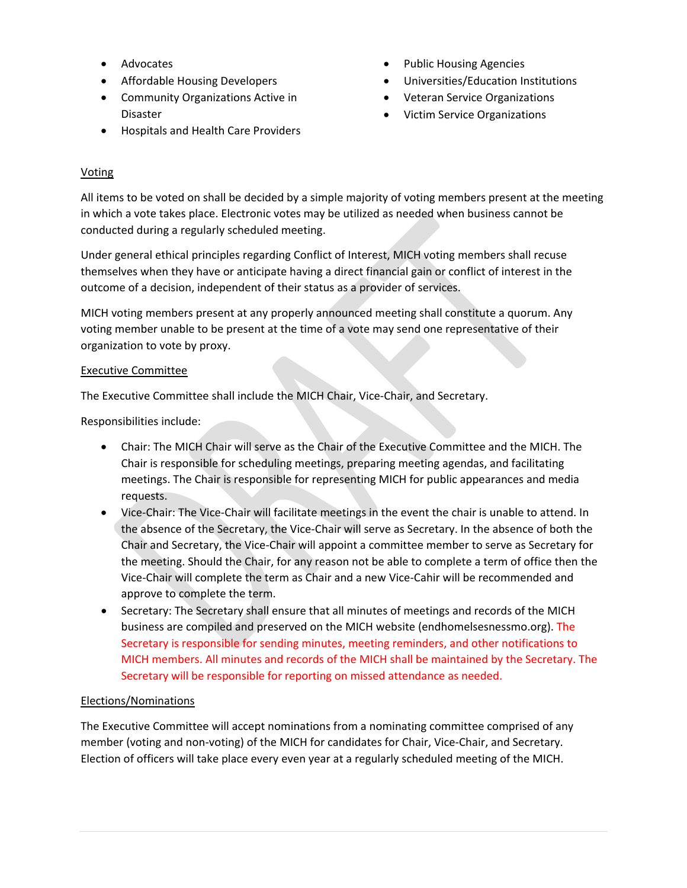- Advocates
- Affordable Housing Developers
- Community Organizations Active in Disaster
- Hospitals and Health Care Providers
- Public Housing Agencies
- Universities/Education Institutions
- Veteran Service Organizations
- Victim Service Organizations

## **Voting**

All items to be voted on shall be decided by a simple majority of voting members present at the meeting in which a vote takes place. Electronic votes may be utilized as needed when business cannot be conducted during a regularly scheduled meeting.

Under general ethical principles regarding Conflict of Interest, MICH voting members shall recuse themselves when they have or anticipate having a direct financial gain or conflict of interest in the outcome of a decision, independent of their status as a provider of services.

MICH voting members present at any properly announced meeting shall constitute a quorum. Any voting member unable to be present at the time of a vote may send one representative of their organization to vote by proxy.

#### Executive Committee

The Executive Committee shall include the MICH Chair, Vice-Chair, and Secretary.

Responsibilities include:

- Chair: The MICH Chair will serve as the Chair of the Executive Committee and the MICH. The Chair is responsible for scheduling meetings, preparing meeting agendas, and facilitating meetings. The Chair is responsible for representing MICH for public appearances and media requests.
- Vice-Chair: The Vice-Chair will facilitate meetings in the event the chair is unable to attend. In the absence of the Secretary, the Vice-Chair will serve as Secretary. In the absence of both the Chair and Secretary, the Vice-Chair will appoint a committee member to serve as Secretary for the meeting. Should the Chair, for any reason not be able to complete a term of office then the Vice-Chair will complete the term as Chair and a new Vice-Cahir will be recommended and approve to complete the term.
- Secretary: The Secretary shall ensure that all minutes of meetings and records of the MICH business are compiled and preserved on the MICH website (endhomelsesnessmo.org). The Secretary is responsible for sending minutes, meeting reminders, and other notifications to MICH members. All minutes and records of the MICH shall be maintained by the Secretary. The Secretary will be responsible for reporting on missed attendance as needed.

## Elections/Nominations

The Executive Committee will accept nominations from a nominating committee comprised of any member (voting and non-voting) of the MICH for candidates for Chair, Vice-Chair, and Secretary. Election of officers will take place every even year at a regularly scheduled meeting of the MICH.